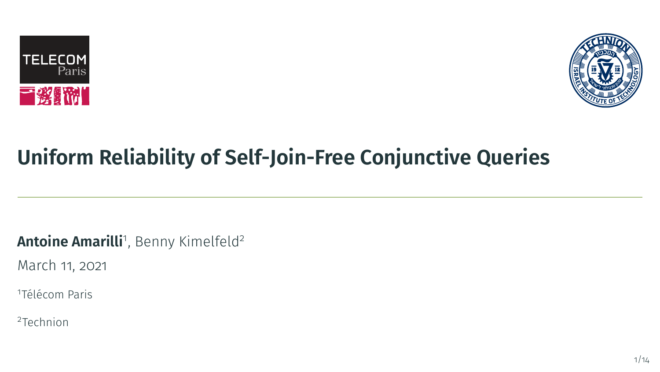



# **Uniform Reliability of Self-Join-Free Conjunctive Queries**

**Antoine Amarilli**1, Benny Kimelfeld<sup>2</sup>

March 11, 2021

<sup>1</sup>Télécom Paris

<sup>2</sup>Technion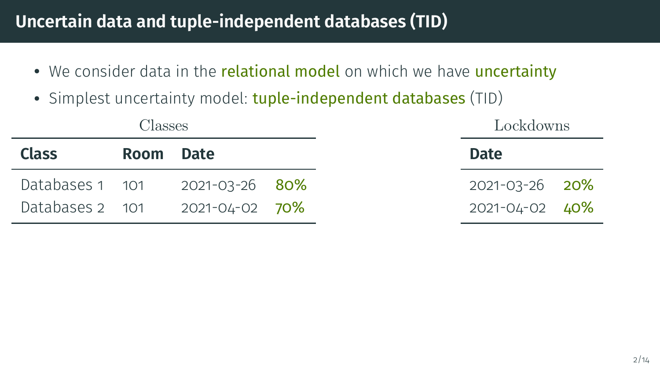#### **Uncertain data and tuple-independent databases (TID)**

- We consider data in the relational model on which we have uncertainty
- Simplest uncertainty model: tuple-independent databases (TID)

|                 | <b>Classes</b> |                |  | Lockdowns      |
|-----------------|----------------|----------------|--|----------------|
| <b>Class</b>    | Room Date      |                |  | <b>Date</b>    |
| Databases 1 101 |                | 2021-03-26 80% |  | 2021-03-26 20% |
| Databases 2 101 |                | 2021-04-02 70% |  | 2021-04-02 40% |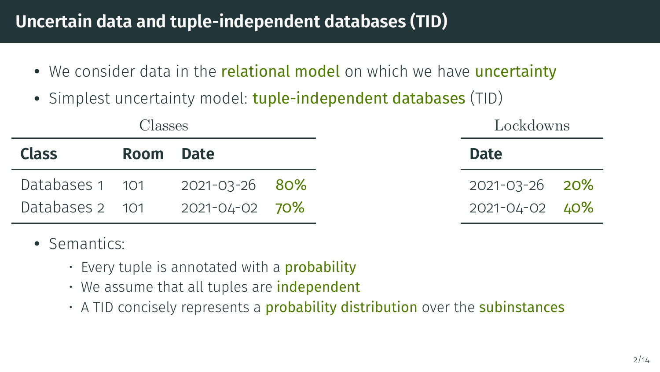#### **Uncertain data and tuple-independent databases (TID)**

- We consider data in the **relational model** on which we have **uncertainty**
- Simplest uncertainty model: tuple-independent databases (TID)

| Classes         |           |                |  |
|-----------------|-----------|----------------|--|
| <b>Class</b>    | Room Date |                |  |
| Databases 1 101 |           | 2021-03-26 80% |  |
| Databases 2 101 |           | 2021-04-02 70% |  |

- Semantics:
	- $\cdot$  Every tuple is annotated with a **probability**
	- We assume that all tuples are independent
	- A TID concisely represents a **probability distribution** over the **subinstances**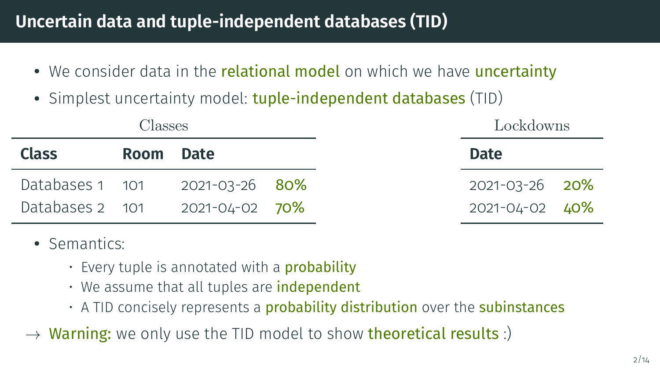## **Uncertain data and tuple-independent databases (TID)**

- We consider data in the **relational model** on which we have **uncertainty**
- Simplest uncertainty model: tuple-independent databases (TID)

| Classes         |           |                |  |
|-----------------|-----------|----------------|--|
| <b>Class</b>    | Room Date |                |  |
| Databases 1 101 |           | 2021-03-26 80% |  |
| Databases 2 101 |           | 2021-04-02 70% |  |

- Semantics:
	- $\cdot$  Every tuple is annotated with a **probability**
	- We assume that all tuples are independent
	- $\cdot$  A TID concisely represents a **probability distribution** over the **subinstances**
- $\rightarrow$  Warning: we only use the TID model to show theoretical results :)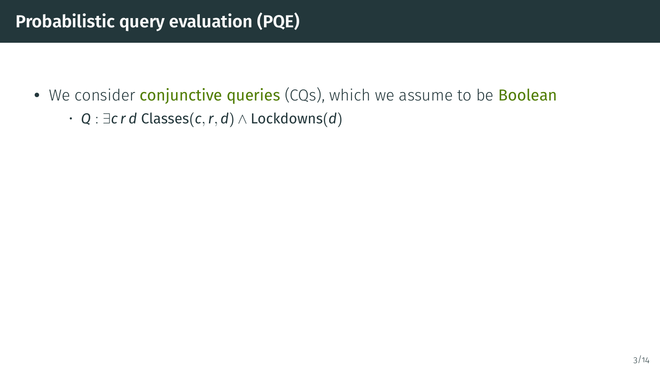# **Probabilistic query evaluation (PQE)**

- We consider **conjunctive queries** (CQs), which we assume to be **Boolean** 
	- *Q* : ∃*c r d* Classes(*c*,*r*, *d*) ∧ Lockdowns(*d*)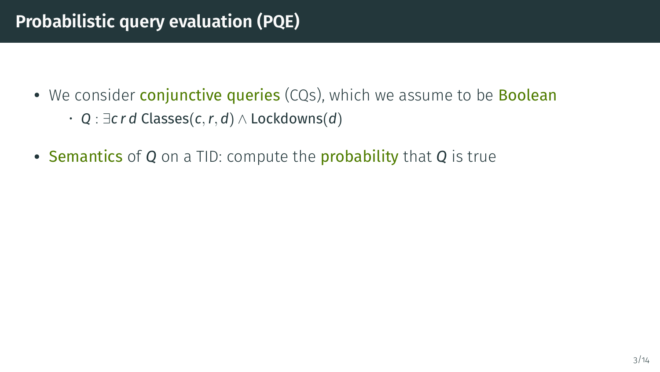- We consider **conjunctive queries** (CQs), which we assume to be **Boolean** 
	- *Q* : ∃*c r d* Classes(*c*,*r*, *d*) ∧ Lockdowns(*d*)
- Semantics of *Q* on a TID: compute the probability that *Q* is true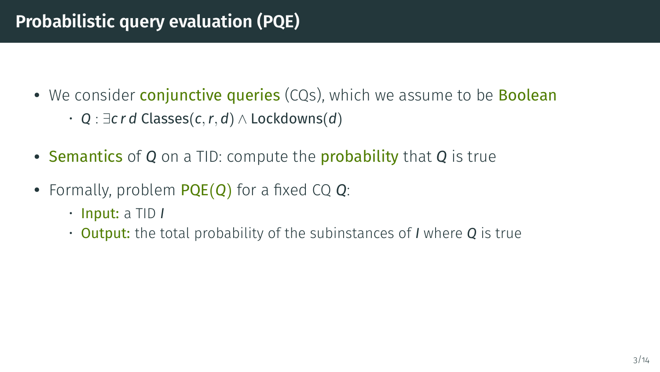# **Probabilistic query evaluation (PQE)**

- We consider **conjunctive queries** (CQs), which we assume to be **Boolean** 
	- *Q* : ∃*c r d* Classes(*c*,*r*, *d*) ∧ Lockdowns(*d*)
- Semantics of *Q* on a TID: compute the probability that *Q* is true
- Formally, problem PQE(*Q*) for a fixed CQ *Q*:
	- Input: a TID *I*
	- Output: the total probability of the subinstances of *I* where *Q* is true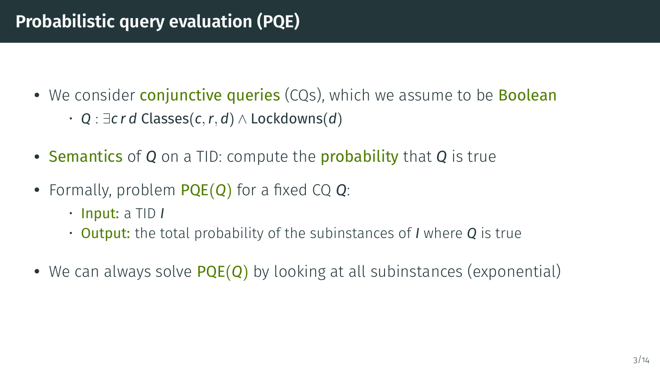# **Probabilistic query evaluation (PQE)**

- We consider **conjunctive queries** (CQs), which we assume to be **Boolean** 
	- *Q* : ∃*c r d* Classes(*c*,*r*, *d*) ∧ Lockdowns(*d*)
- Semantics of *Q* on a TID: compute the probability that *Q* is true
- Formally, problem PQE(*Q*) for a fixed CQ *Q*:
	- Input: a TID *I*
	- Output: the total probability of the subinstances of *I* where *Q* is true
- We can always solve PQE(*Q*) by looking at all subinstances (exponential)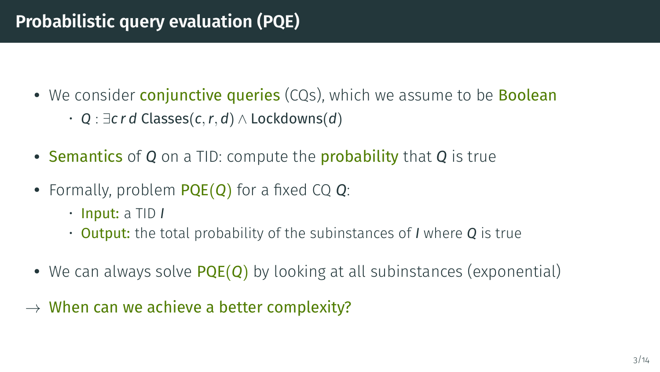- We consider **conjunctive queries** (CQs), which we assume to be **Boolean** 
	- *Q* : ∃*c r d* Classes(*c*,*r*, *d*) ∧ Lockdowns(*d*)
- Semantics of *Q* on a TID: compute the probability that *Q* is true
- Formally, problem PQE(*Q*) for a fixed CQ *Q*:
	- Input: a TID *I*
	- Output: the total probability of the subinstances of *I* where *Q* is true
- We can always solve PQE(*Q*) by looking at all subinstances (exponential)
- $\rightarrow$  When can we achieve a better complexity?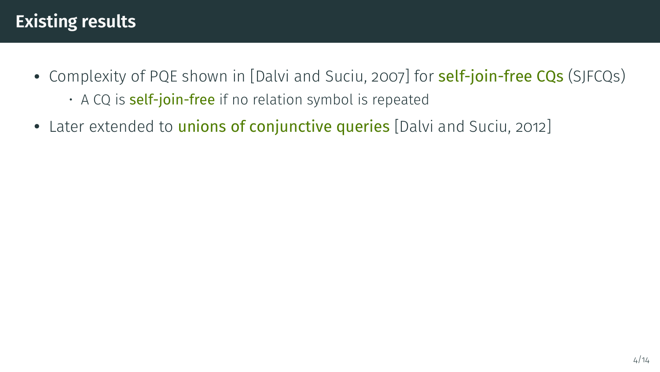# **Existing results**

- Complexity of PQE shown in [\[Dalvi and Suciu, 2007\]](#page-55-0) for **self-join-free CQs** (SJFCQs)
	- A CQ is **self-join-free** if no relation symbol is repeated
- Later extended to *unions of conjunctive queries* [\[Dalvi and Suciu, 2012\]](#page-55-1)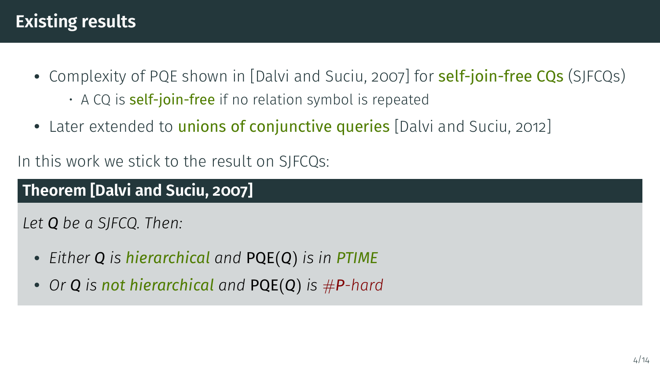# **Existing results**

- Complexity of PQE shown in [\[Dalvi and Suciu, 2007\]](#page-55-0) for **self-join-free CQs** (SJFCQs)
	- $\cdot$  A CQ is **self-join-free** if no relation symbol is repeated
- Later extended to *unions of conjunctive queries* [\[Dalvi and Suciu, 2012\]](#page-55-1)

In this work we stick to the result on SJFCQs:

#### **Theorem [\[Dalvi and Suciu, 2007\]](#page-55-0)**

*Let Q be a SJFCQ. Then:*

- *Either Q is hierarchical and* PQE(*Q*) *is in PTIME*
- *Or <sup>Q</sup> is not hierarchical and* PQE(*Q*) *is* #*P-hard*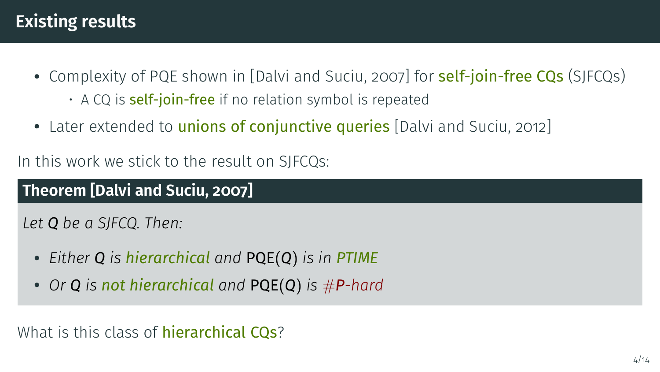# **Existing results**

- Complexity of PQE shown in [\[Dalvi and Suciu, 2007\]](#page-55-0) for **self-join-free CQs** (SJFCQs)
	- $\cdot$  A CQ is **self-join-free** if no relation symbol is repeated
- Later extended to *unions of conjunctive queries* [\[Dalvi and Suciu, 2012\]](#page-55-1)

In this work we stick to the result on SJFCQs:

#### **Theorem [\[Dalvi and Suciu, 2007\]](#page-55-0)**

*Let Q be a SJFCQ. Then:*

- *Either Q is hierarchical and* PQE(*Q*) *is in PTIME*
- *Or <sup>Q</sup> is not hierarchical and* PQE(*Q*) *is* #*P-hard*

What is this class of **hierarchical CQs**?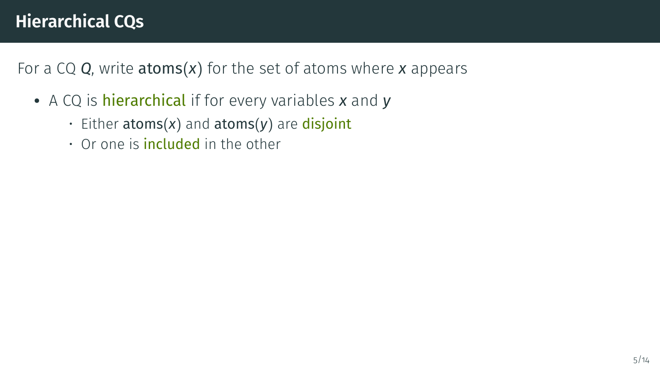- A CQ is hierarchical if for every variables *x* and *y*
	- Either atoms(*x*) and atoms(*y*) are disjoint
	- $\cdot$  Or one is **included** in the other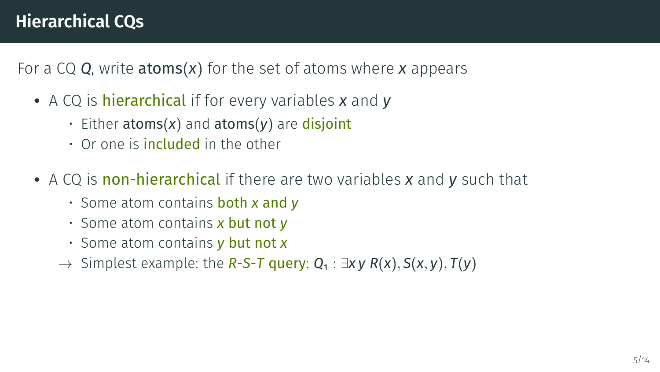- A CQ is hierarchical if for every variables *x* and *y*
	- Either atoms(*x*) and atoms(*y*) are disjoint
	- $\cdot$  Or one is **included** in the other
- A CQ is non-hierarchical if there are two variables *x* and *y* such that
	- Some atom contains both *x* and *y*
	- Some atom contains *x* but not *y*
	- Some atom contains *y* but not *x*
	- → Simplest example: the *R*-*S*-*T* query: *Q*<sup>1</sup> : ∃*x y R*(*x*), *S*(*x*, *y*), *T*(*y*)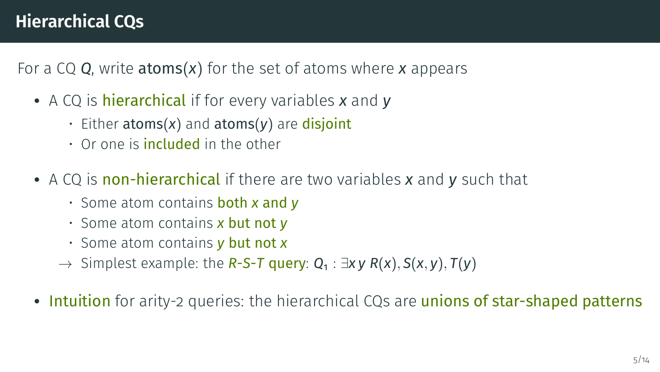- A CQ is hierarchical if for every variables *x* and *y*
	- Either atoms(*x*) and atoms(*y*) are disjoint
	- $\cdot$  Or one is **included** in the other
- A CQ is non-hierarchical if there are two variables *x* and *y* such that
	- Some atom contains both *x* and *y*
	- Some atom contains *x* but not *y*
	- Some atom contains *y* but not *x*
	- → Simplest example: the *R*-*S*-*T* query: *Q*<sup>1</sup> : ∃*x y R*(*x*), *S*(*x*, *y*), *T*(*y*)
- Intuition for arity-2 queries: the hierarchical CQs are unions of star-shaped patterns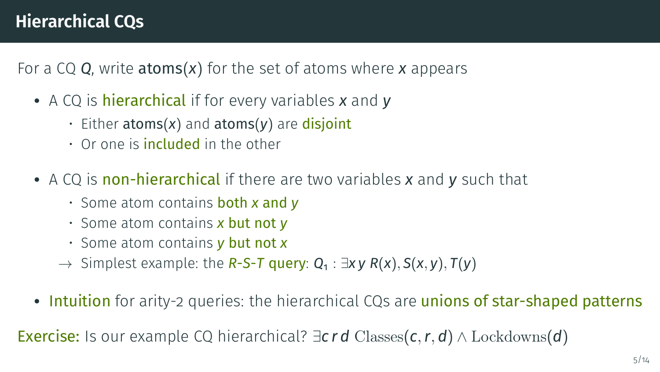- A CQ is hierarchical if for every variables *x* and *y*
	- Either atoms(*x*) and atoms(*y*) are disjoint
	- $\cdot$  Or one is **included** in the other
- A CQ is non-hierarchical if there are two variables *x* and *y* such that
	- Some atom contains both *x* and *y*
	- Some atom contains *x* but not *y*
	- Some atom contains *y* but not *x*
	- → Simplest example: the *R*-*S*-*T* query: *Q*<sup>1</sup> : ∃*x y R*(*x*), *S*(*x*, *y*), *T*(*y*)
- Intuition for arity-2 queries: the hierarchical CQs are unions of star-shaped patterns

Exercise: Is our example CQ hierarchical? ∃*c r d* Classes(*c*,*r*, *d*) ∧ Lockdowns(*d*)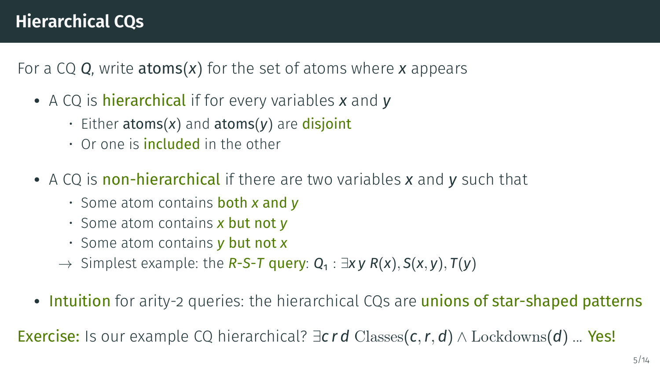- A CQ is hierarchical if for every variables *x* and *y*
	- Either atoms(*x*) and atoms(*y*) are disjoint
	- $\cdot$  Or one is **included** in the other
- A CQ is non-hierarchical if there are two variables *x* and *y* such that
	- Some atom contains both *x* and *y*
	- Some atom contains *x* but not *y*
	- Some atom contains *y* but not *x*
	- → Simplest example: the *R*-*S*-*T* query: *Q*<sup>1</sup> : ∃*x y R*(*x*), *S*(*x*, *y*), *T*(*y*)
- Intuition for arity-2 queries: the hierarchical CQs are unions of star-shaped patterns

Exercise: Is our example CQ hierarchical? ∃*c r d* Classes(*c*,*r*, *d*) ∧ Lockdowns(*d*) ... Yes!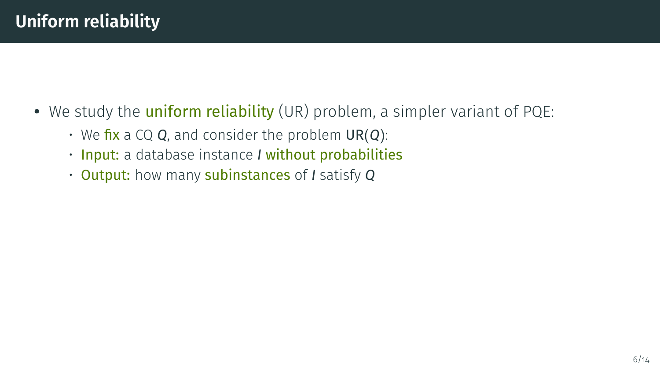- We study the **uniform reliability** (UR) problem, a simpler variant of PQE:
	- We fix a CQ *Q*, and consider the problem UR(*Q*):
	- Input: a database instance *I* without probabilities
	- Output: how many subinstances of *I* satisfy *Q*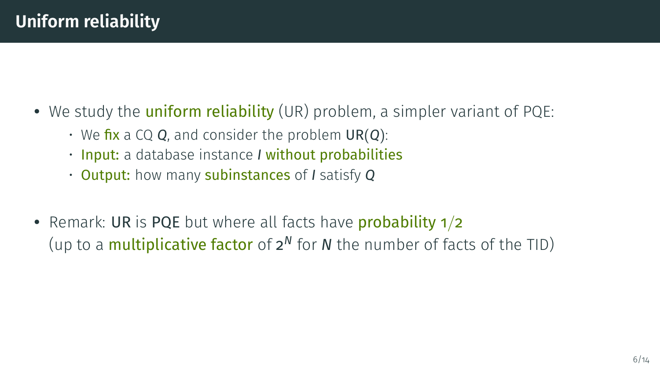- We study the **uniform reliability** (UR) problem, a simpler variant of PQE:
	- We fix a CQ *Q*, and consider the problem UR(*Q*):
	- Input: a database instance *I* without probabilities
	- Output: how many subinstances of *I* satisfy *Q*
- Remark: UR is PQE but where all facts have **probability 1/2** (up to a multiplicative factor of 2 *<sup>N</sup>* for *N* the number of facts of the TID)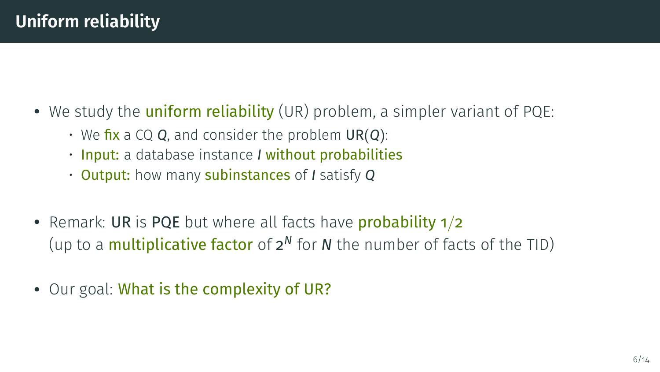- We study the **uniform reliability** (UR) problem, a simpler variant of POE:
	- We fix a CQ *Q*, and consider the problem UR(*Q*):
	- Input: a database instance *I* without probabilities
	- Output: how many subinstances of *I* satisfy *Q*
- Remark: UR is PQE but where all facts have **probability 1/2** (up to a multiplicative factor of 2 *<sup>N</sup>* for *N* the number of facts of the TID)
- Our goal: What is the complexity of UR?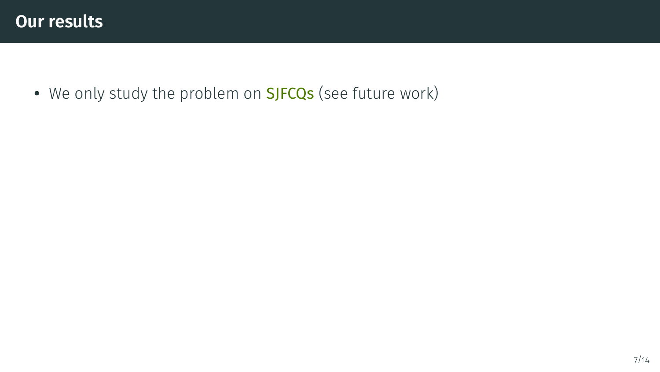• We only study the problem on **SJFCQs** (see future work)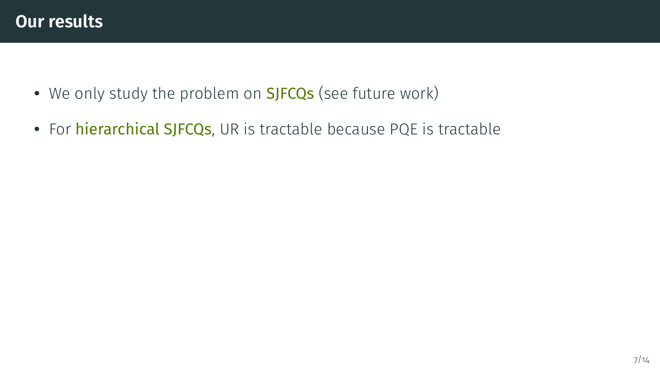- We only study the problem on **SJFCQs** (see future work)
- For *hierarchical SJFCQs*, UR is tractable because PQE is tractable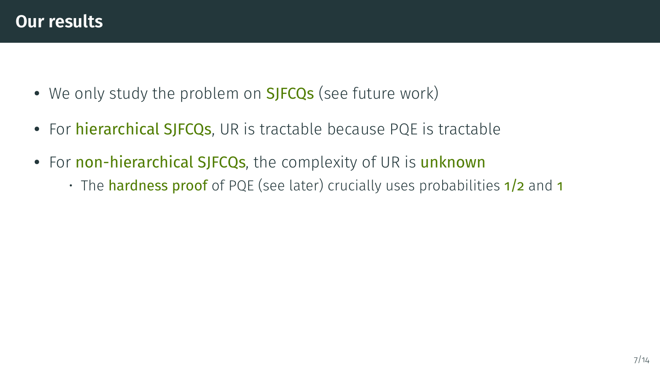- We only study the problem on **SJFCQs** (see future work)
- For *hierarchical SJFCQs*, UR is tractable because PQE is tractable
- For non-hierarchical SJFCQs, the complexity of UR is unknown
	- The **hardness proof** of PQE (see later) crucially uses probabilities 1/2 and 1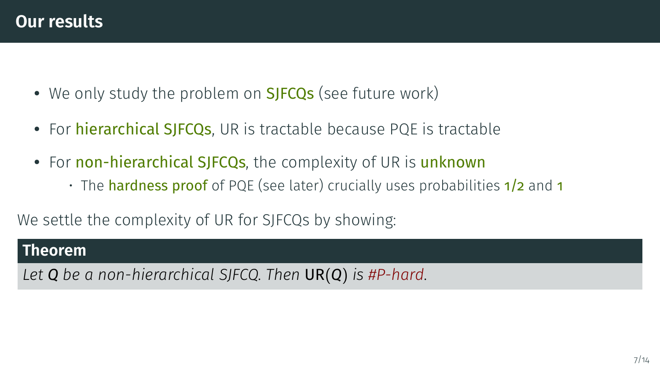- We only study the problem on **SJFCQs** (see future work)
- For *hierarchical SJFCQs*, UR is tractable because PQE is tractable
- For non-hierarchical SJFCQs, the complexity of UR is unknown
	- $\cdot$  The hardness proof of PQE (see later) crucially uses probabilities  $1/2$  and 1

We settle the complexity of UR for SJFCQs by showing:

#### **Theorem**

*Let Q be a non-hierarchical SJFCQ. Then* UR(*Q*) *is #P-hard.*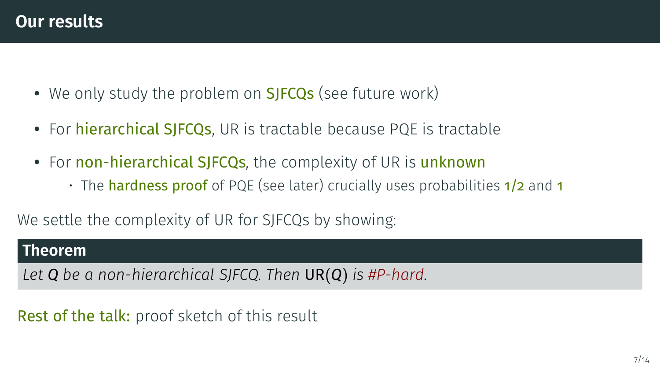- We only study the problem on **SJFCQs** (see future work)
- For *hierarchical SJFCQs*, UR is tractable because PQE is tractable
- For non-hierarchical SJFCQs, the complexity of UR is unknown
	- $\cdot$  The hardness proof of PQE (see later) crucially uses probabilities  $1/2$  and 1

We settle the complexity of UR for SJFCQs by showing:

#### **Theorem**

*Let Q be a non-hierarchical SJFCQ. Then* UR(*Q*) *is #P-hard.*

Rest of the talk: proof sketch of this result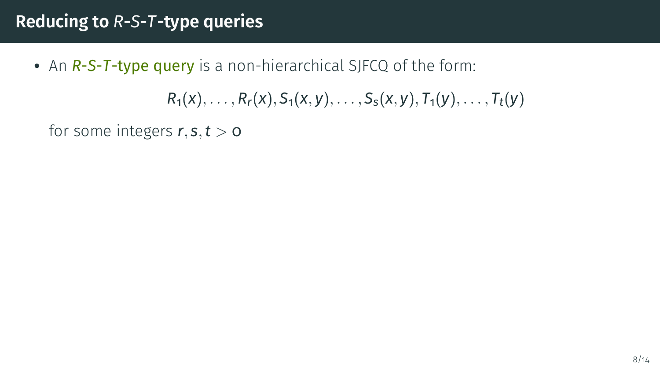• An *R*-*S*-*T*-type query is a non-hierarchical SJFCQ of the form:

 $R_1(x), \ldots, R_r(x), S_1(x, y), \ldots, S_s(x, y), T_1(y), \ldots, T_t(y)$ 

for some integers  $r, s, t > 0$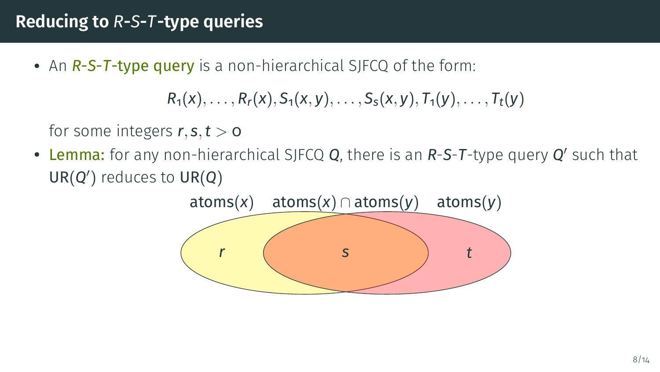• An *R*-*S*-*T*-type query is a non-hierarchical SJFCQ of the form:

```
R_1(x), \ldots, R_r(x), S_1(x, y), \ldots, S_s(x, y), T_1(y), \ldots, T_t(y)
```
for some integers  $r, s, t > 0$ 

• Lemma: for any non-hierarchical SJFCQ *Q*, there is an *R-S-T-type query <i>Q'* such that UR(*Q* 0 ) reduces to UR(*Q*)

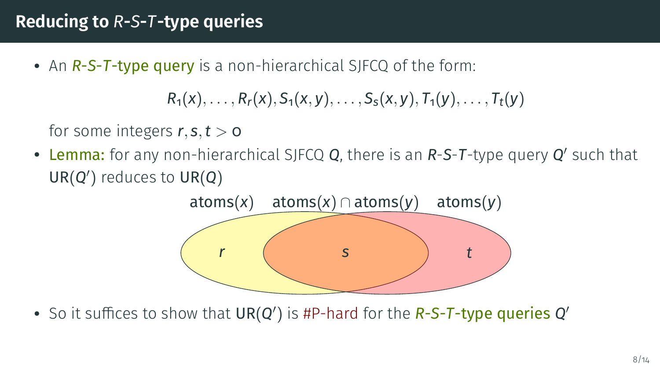• An *R*-*S*-*T*-type query is a non-hierarchical SJFCQ of the form:

```
R_1(x), \ldots, R_r(x), S_1(x, y), \ldots, S_s(x, y), T_1(y), \ldots, T_t(y)
```
for some integers  $r, s, t > 0$ 

• Lemma: for any non-hierarchical SJFCQ *Q*, there is an *R-S-T-type query <i>Q'* such that UR(*Q* 0 ) reduces to UR(*Q*)



• So it suffices to show that  $UR(Q')$  is #P-hard for the *R-S-T-type queries Q*<sup>2</sup>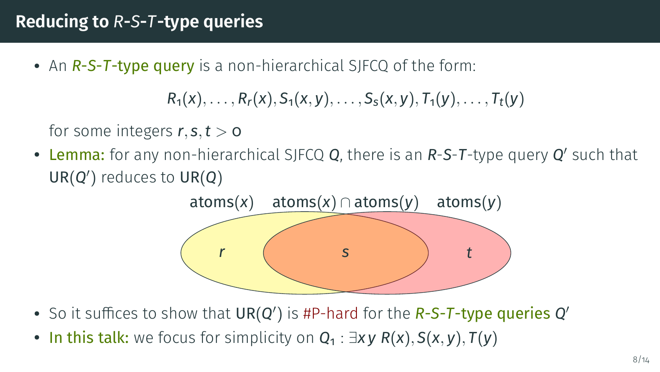• An *R*-*S*-*T*-type query is a non-hierarchical SJFCQ of the form:

$$
R_1(x),\ldots,R_r(x),S_1(x,y),\ldots,S_s(x,y),T_1(y),\ldots,T_t(y)
$$

for some integers  $r, s, t > 0$ 

• Lemma: for any non-hierarchical SJFCQ *Q*, there is an *R-S-T-type query <i>Q'* such that UR(*Q* 0 ) reduces to UR(*Q*)



- So it suffices to show that  $UR(Q')$  is #P-hard for the *R-S-T-type queries Q*<sup>2</sup>
- In this talk: we focus for simplicity on *Q*<sup>1</sup> : ∃*x y R*(*x*), *S*(*x*, *y*), *T*(*y*)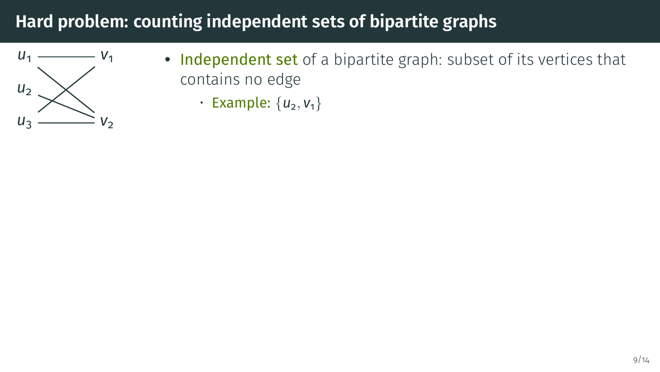

- Independent set of a bipartite graph: subset of its vertices that contains no edge
	- Example:  $\{u_2, v_1\}$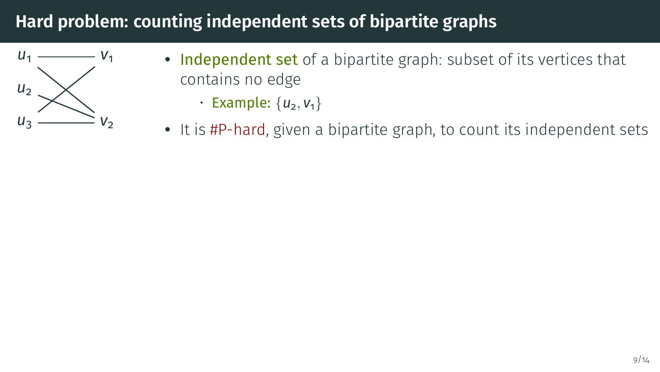

- Independent set of a bipartite graph: subset of its vertices that contains no edge
	- Example:  $\{u_2, v_1\}$
- It is #P-hard, given a bipartite graph, to count its independent sets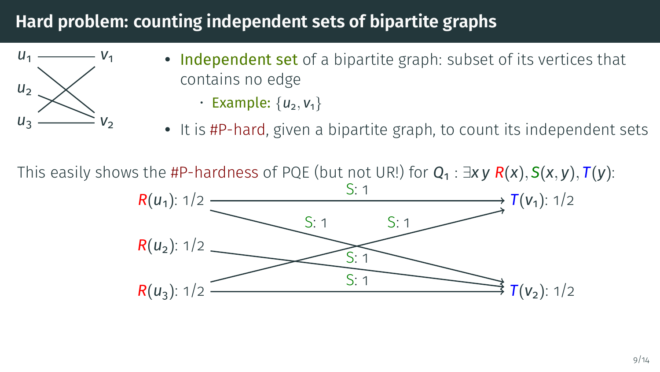

- Independent set of a bipartite graph: subset of its vertices that contains no edge
	- Example:  $\{u_2, v_1\}$
- It is #P-hard, given a bipartite graph, to count its independent sets

This easily shows the #P-hardness of PQE (but not UR!) for *Q*<sup>1</sup> : ∃*x y R*(*x*), *S*(*x*, *y*), *T*(*y*):

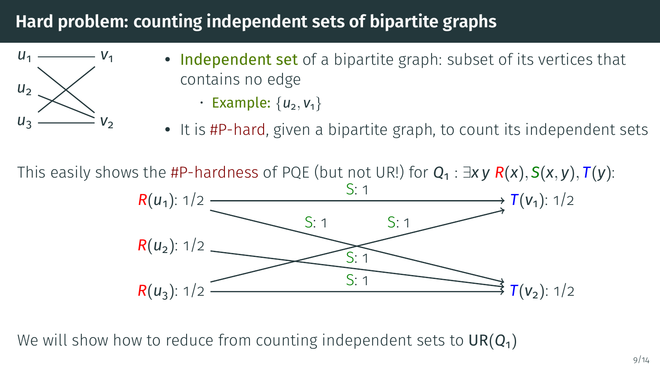

- Independent set of a bipartite graph: subset of its vertices that contains no edge
	- Example:  $\{u_2, v_1\}$
- It is #P-hard, given a bipartite graph, to count its independent sets

This easily shows the #P-hardness of PQE (but not UR!) for *Q*<sup>1</sup> : ∃*x y R*(*x*), *S*(*x*, *y*), *T*(*y*):



We will show how to reduce from counting independent sets to UR( $Q_1$ )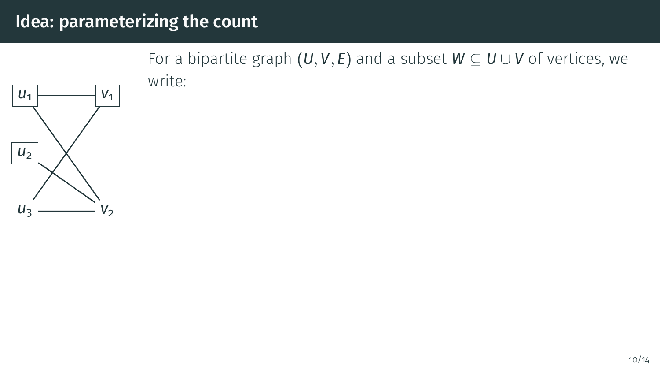

#### 10/14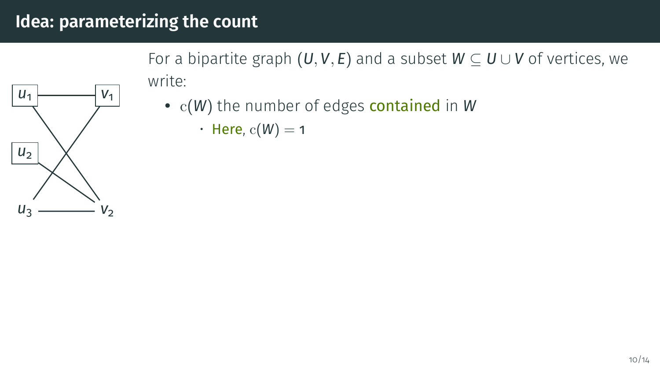For a bipartite graph  $(U, V, E)$  and a subset  $W \subseteq U \cup V$  of vertices, we write:

- $U_1$  $u<sub>2</sub>$  $u<sub>3</sub>$ *v*1  $V_2$
- c(*W*) the number of edges contained in *W*
	- Here,  $c(W) = 1$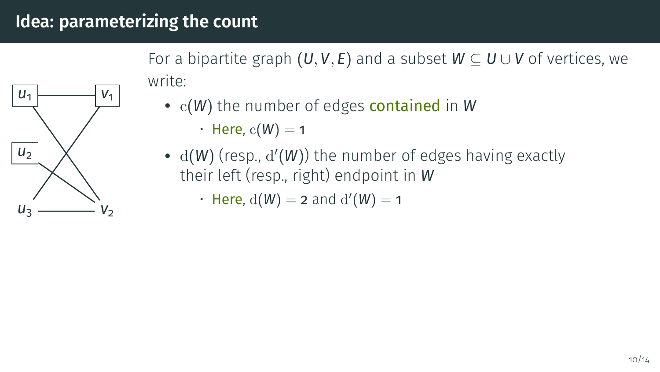For a bipartite graph  $(U, V, E)$  and a subset  $W \subset U \cup V$  of vertices, we write:



• c(*W*) the number of edges contained in *W*

• Here,  $c(W) = 1$ 

•  $d(W)$  (resp.,  $d'(W)$ ) the number of edges having exactly their left (resp., right) endpoint in *W*

 $\cdot$  Here,  $d(W) = 2$  and  $d'(W) = 1$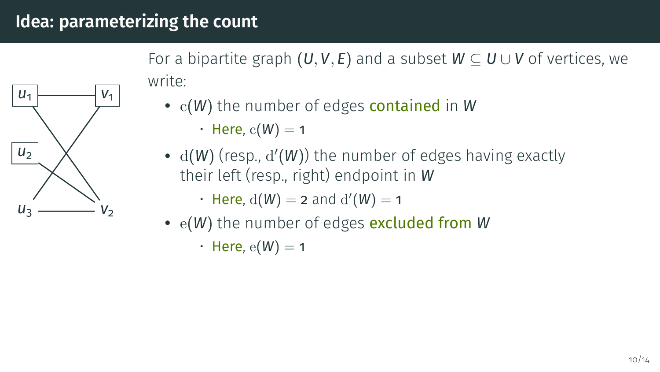For a bipartite graph  $(U, V, E)$  and a subset  $W \subseteq U \cup V$  of vertices, we write:



• c(*W*) the number of edges contained in *W*

• Here,  $c(W) = 1$ 

•  $d(W)$  (resp.,  $d'(W)$ ) the number of edges having exactly their left (resp., right) endpoint in *W*

 $\cdot$  Here,  $d(W) = 2$  and  $d'(W) = 1$ 

• e(*W*) the number of edges excluded from *W*

• Here,  $e(W) = 1$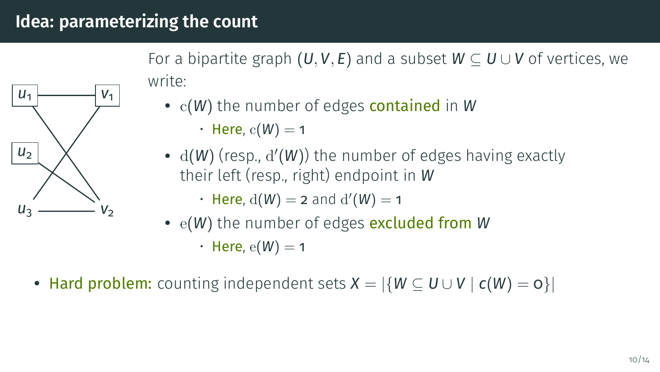For a bipartite graph  $(U, V, E)$  and a subset  $W \subseteq U \cup V$  of vertices, we write:



• c(*W*) the number of edges contained in *W*

• Here,  $c(W) = 1$ 

•  $d(W)$  (resp.,  $d'(W)$ ) the number of edges having exactly their left (resp., right) endpoint in *W*

 $\cdot$  Here,  $d(W) = 2$  and  $d'(W) = 1$ 

• e(*W*) the number of edges excluded from *W*

• Here,  $e(W) = 1$ 

• Hard problem: counting independent sets  $X = |\{W \subseteq U \cup V \mid c(W) = 0\}|$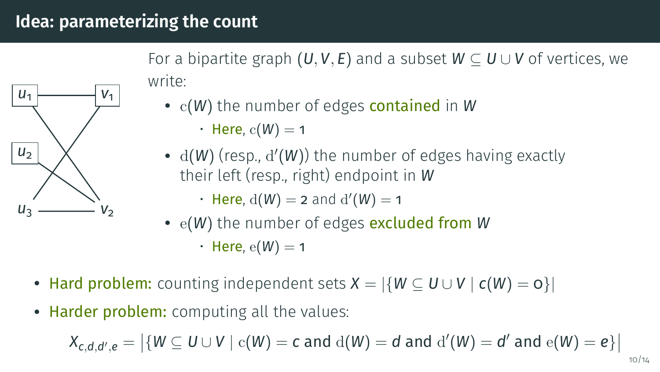For a bipartite graph  $(U, V, E)$  and a subset  $W \subseteq U \cup V$  of vertices, we write:



- c(*W*) the number of edges contained in *W*
	- Here,  $c(W) = 1$
- $d(W)$  (resp.,  $d'(W)$ ) the number of edges having exactly their left (resp., right) endpoint in *W*
	- $\cdot$  Here,  $d(W) = 2$  and  $d'(W) = 1$
- e(*W*) the number of edges excluded from *W*
	- Here,  $e(W) = 1$
- Hard problem: counting independent sets  $X = |\{W \subseteq U \cup V \mid c(W) = o\}|$
- Harder problem: computing all the values:

$$
X_{c,d,d',e} = \big|\{W \subseteq U \cup V \mid \mathrm{c}(W) = c \text{ and } \mathrm{d}(W) = d \text{ and } \mathrm{d}'(W) = d' \text{ and } \mathrm{e}(W) = e\}\big|
$$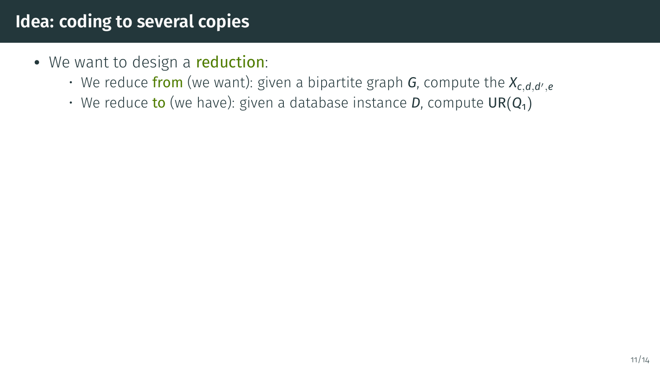# **Idea: coding to several copies**

- We want to design a **reduction**:
	- $\cdot$  We reduce from (we want): given a bipartite graph **G**, compute the  $X_{c,d,d',e'}$
	- $\cdot$  We reduce to (we have): given a database instance **D**, compute  $UR(Q_1)$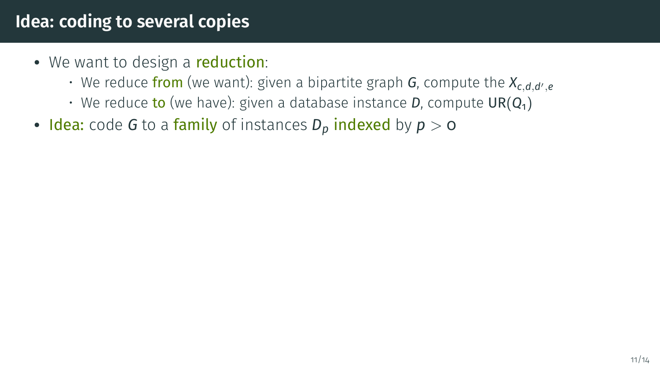# **Idea: coding to several copies**

- We want to design a reduction:
	- $\cdot$  We reduce from (we want): given a bipartite graph **G**, compute the  $X_{c,d,d',e'}$
	- $\cdot$  We reduce to (we have): given a database instance **D**, compute  $UR(Q_1)$
- Idea: code *G* to a family of instances  $D_p$  indexed by  $p > 0$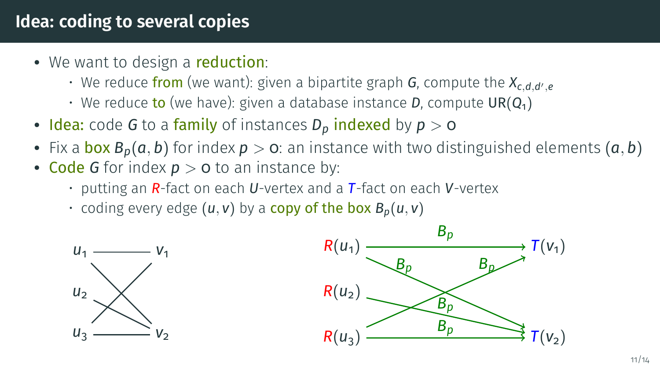## **Idea: coding to several copies**

- We want to design a **reduction**:
	- $\cdot$  We reduce from (we want): given a bipartite graph **G**, compute the  $X_{c,d,d',e'}$
	- $\cdot$  We reduce to (we have): given a database instance **D**, compute  $UR(Q_1)$
- **Idea:** code *G* to a family of instances  $D_p$  indexed by  $p > 0$
- Fix a **box**  $B_p(a, b)$  for index  $p > 0$ : an instance with two distinguished elements  $(a, b)$
- Code *G* for index  $p > o$  to an instance by:
	- putting an *R*-fact on each *U*-vertex and a *T*-fact on each *V*-vertex
	- $\cdot$  coding every edge  $(u, v)$  by a copy of the box  $B_p(u, v)$



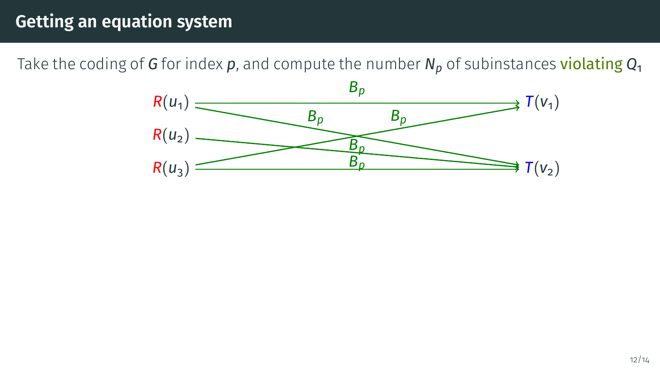Take the coding of *G* for index *p*, and compute the number *N<sup>p</sup>* of subinstances violating *Q*<sup>1</sup>

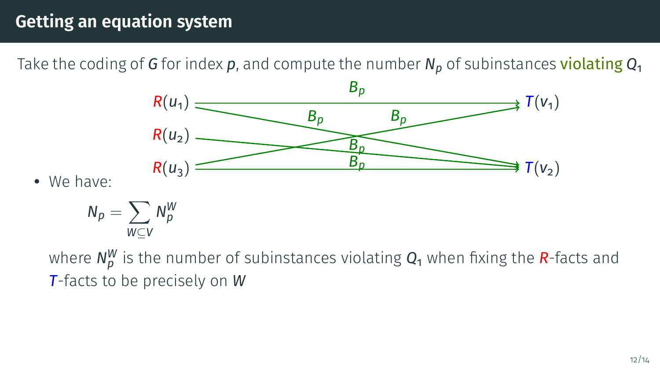Take the coding of *G* for index *p*, and compute the number *N<sup>p</sup>* of subinstances violating *Q*<sup>1</sup>



• We have:

$$
N_p = \sum_{W \subseteq V} N_p^W
$$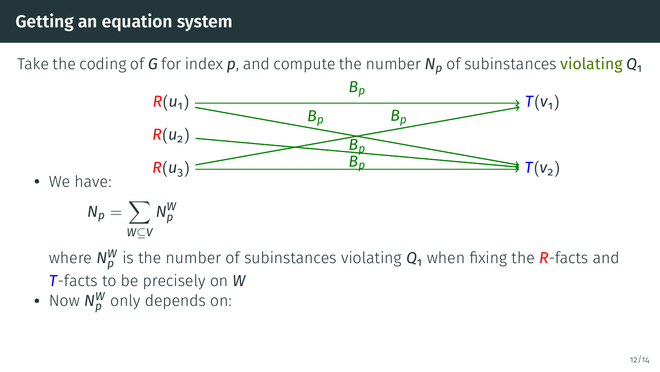Take the coding of *G* for index *p*, and compute the number *N<sup>p</sup>* of subinstances violating *Q*<sup>1</sup>



• We have:

$$
N_p = \sum_{W \subseteq V} N_p^W
$$

where  $N_{P}^{W}$  is the number of subinstances violating  $Q_{1}$  when fixing the  $R$ -facts and *T*-facts to be precisely on *W*

• Now  $N_p^W$  only depends on: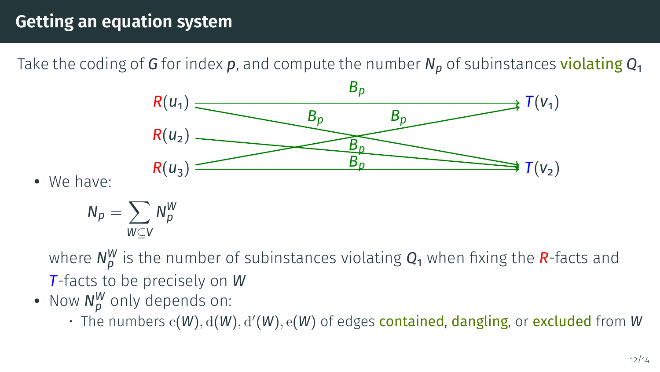Take the coding of *G* for index *p*, and compute the number *N<sup>p</sup>* of subinstances violating *Q*<sup>1</sup>



• We have:

$$
N_p = \sum_{W \subseteq V} N_p^W
$$

- Now  $N_p^W$  only depends on:
	- The numbers  $c(W)$ ,  $d(W)$ ,  $d'(W)$ ,  $e(W)$  of edges contained, dangling, or excluded from W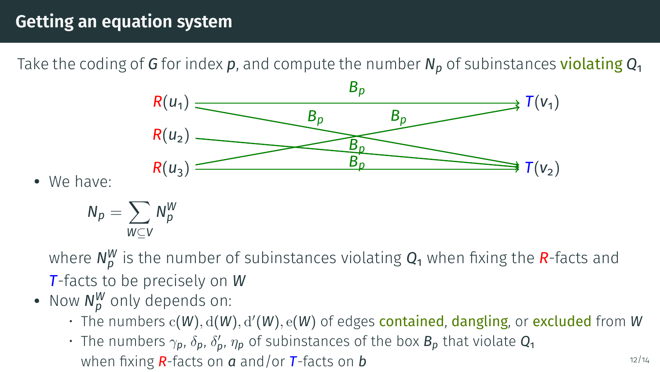Take the coding of *G* for index *p*, and compute the number *N<sup>p</sup>* of subinstances violating *Q*<sup>1</sup>



• We have:

 $N_p = \sum N_p^W$ *W*⊆*V*

- Now  $N_p^W$  only depends on:
	- The numbers  $c(W)$ ,  $d(W)$ ,  $d'(W)$ ,  $e(W)$  of edges contained, dangling, or excluded from W
	- $\cdot$  The numbers  $\gamma_p$ ,  $\delta_p$ ,  $\delta'_p$ ,  $\eta_p$  of subinstances of the box  $B_p$  that violate  $\mathcal{Q}_1$ when fixing *R*-facts on *a* and/or **T**-facts on *b* 12/14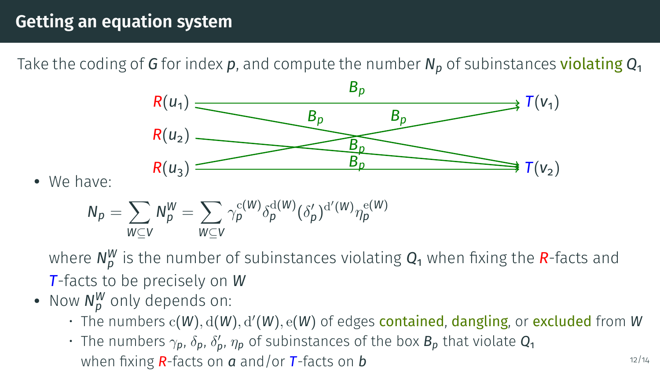Take the coding of *G* for index *p*, and compute the number *N<sup>p</sup>* of subinstances violating *Q*<sup>1</sup>



• We have:

$$
N_p = \sum_{W \subseteq V} N_p^W = \sum_{W \subseteq V} \gamma_p^{c(W)} \delta_p^{d(W)}(\delta_p')^{d'(W)} \eta_p^{e(W)}
$$

- Now  $N_p^W$  only depends on:
	- The numbers  $c(W)$ ,  $d(W)$ ,  $d'(W)$ ,  $e(W)$  of edges contained, dangling, or excluded from W
	- $\cdot$  The numbers  $\gamma_p$ ,  $\delta_p$ ,  $\delta'_p$ ,  $\eta_p$  of subinstances of the box  $B_p$  that violate  $\mathcal{Q}_1$ when fixing *R*-facts on *a* and/or **T**-facts on *b* 12/14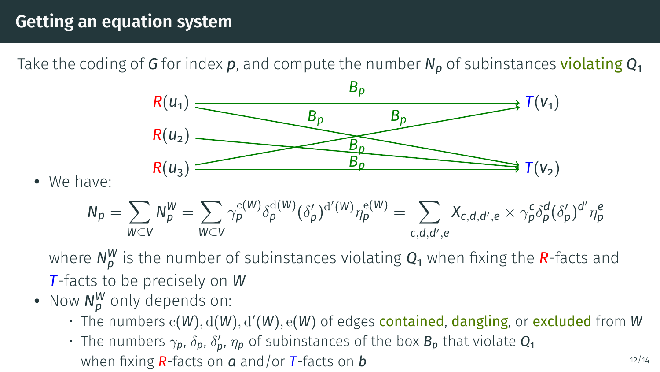Take the coding of *G* for index *p*, and compute the number *N<sup>p</sup>* of subinstances violating *Q*<sup>1</sup>



• We have:

$$
N_p=\sum_{W\subseteq V}N_p^W=\sum_{W\subseteq V}\gamma_p^{c(W)}\delta_p^{d(W)}(\delta'_p)^{d'(W)}\eta_p^{e(W)}=\sum_{c,d,d',e}X_{c,d,d',e}\times\gamma_p^c\delta_p^d(\delta'_p)^{d'}\eta_p^e
$$

- Now  $N_p^W$  only depends on:
	- The numbers  $c(W)$ ,  $d(W)$ ,  $d'(W)$ ,  $e(W)$  of edges contained, dangling, or excluded from W
	- $\cdot$  The numbers  $\gamma_p$ ,  $\delta_p$ ,  $\delta'_p$ ,  $\eta_p$  of subinstances of the box  $B_p$  that violate  $\mathcal{Q}_1$ when fixing *R*-facts on *a* and/or **T**-facts on *b* 12/14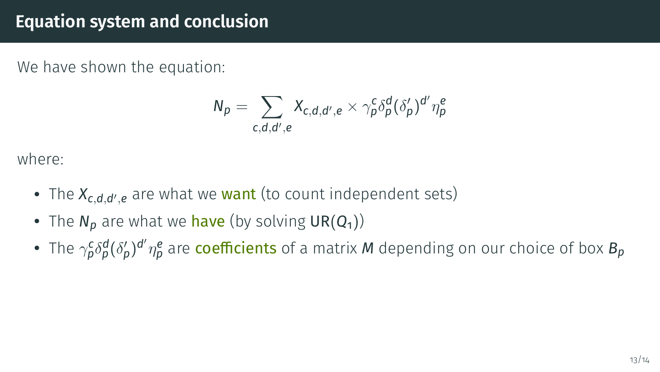#### **Equation system and conclusion**

We have shown the equation:

$$
N_p = \sum_{c,d,d',e} X_{c,d,d',e} \times \gamma_p^c \delta_p^d (\delta_p')^{d'} \eta_p^e
$$

where:

- The  $X_{c,d,d',e}$  are what we **want** (to count independent sets)
- The  $N_p$  are what we have (by solving  $\mathsf{UR}(Q_1)$ )
- The  $\gamma_p^c \delta_p^d (\delta_p')^{d'} \eta_p^e$  are coefficients of a matrix *M* depending on our choice of box  $B_p$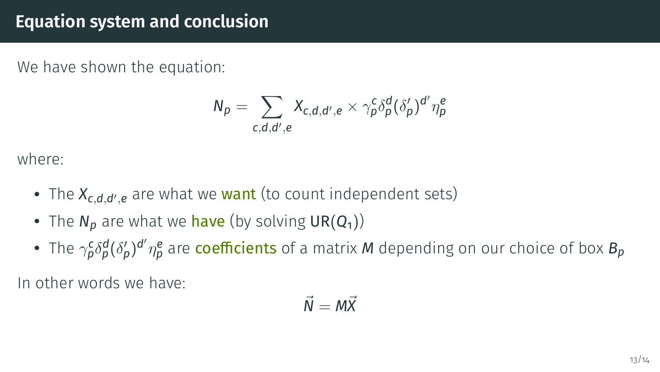#### **Equation system and conclusion**

We have shown the equation:

$$
N_p = \sum_{c,d,d',e} X_{c,d,d',e} \times \gamma_p^c \delta_p^d (\delta_p')^{d'} \eta_p^e
$$

where:

- The  $X_{c,d,d',e}$  are what we **want** (to count independent sets)
- The  $N_p$  are what we have (by solving  $\mathsf{UR}(Q_1)$ )
- The  $\gamma_p^c \delta_p^d (\delta_p')^{d'} \eta_p^e$  are coefficients of a matrix *M* depending on our choice of box  $B_p$

In other words we have:

$$
\vec{N} = M\vec{X}
$$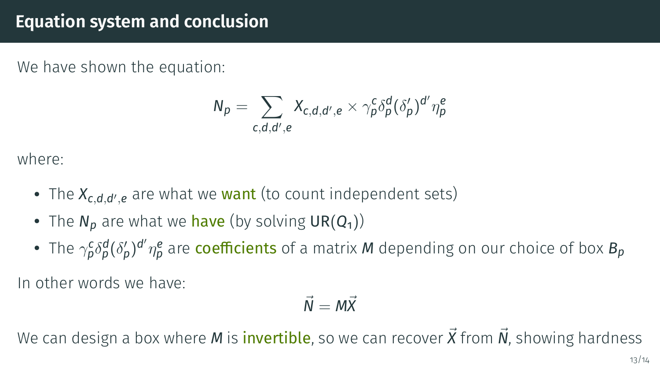#### **Equation system and conclusion**

We have shown the equation:

$$
N_p = \sum_{c,d,d',e} X_{c,d,d',e} \times \gamma_p^c \delta_p^d (\delta_p')^{d'} \eta_p^e
$$

where:

- The  $X_{c,d,d',e}$  are what we **want** (to count independent sets)
- The  $N_p$  are what we have (by solving  $\mathsf{UR}(Q_1)$ )
- The  $\gamma_p^c \delta_p^d (\delta_p')^{d'} \eta_p^e$  are coefficients of a matrix *M* depending on our choice of box  $B_p$

In other words we have:

$$
\vec{N}=M\vec{X}
$$

We can design a box where *M* is *invertible*, so we can recover  $\vec{X}$  from  $\vec{N}$ , showing hardness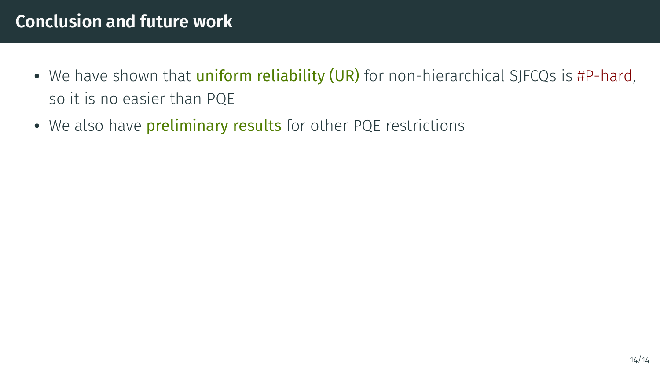## **Conclusion and future work**

- We have shown that *uniform reliability (UR)* for non-hierarchical SJFCQs is  $#P$ -hard, so it is no easier than PQE
- We also have **preliminary results** for other PQE restrictions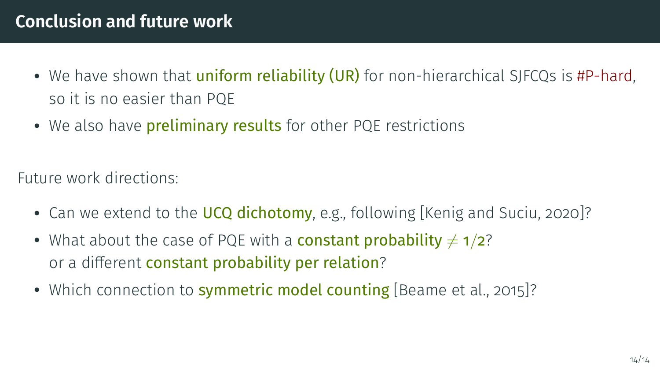## **Conclusion and future work**

- We have shown that *uniform reliability (UR)* for non-hierarchical SJFCQs is #P-hard, so it is no easier than PQE
- We also have **preliminary results** for other PQE restrictions

Future work directions:

- Can we extend to the UCQ dichotomy, e.g., following [\[Kenig and Suciu, 2020\]](#page-56-0)?
- What about the case of PQE with a **constant probability**  $\neq 1/2$ ? or a different constant probability per relation?
- Which connection to **symmetric model counting** [\[Beame et al., 2015\]](#page-55-2)?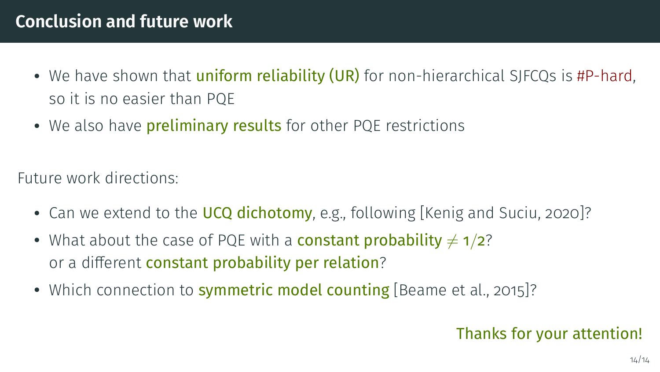## **Conclusion and future work**

- We have shown that *uniform reliability (UR)* for non-hierarchical SJFCQs is #P-hard, so it is no easier than PQE
- We also have **preliminary results** for other PQE restrictions

Future work directions:

- Can we extend to the UCQ dichotomy, e.g., following [\[Kenig and Suciu, 2020\]](#page-56-0)?
- What about the case of PQE with a **constant probability**  $\neq 1/2$ ? or a different constant probability per relation?
- Which connection to **symmetric model counting** [\[Beame et al., 2015\]](#page-55-2)?

#### Thanks for your attention!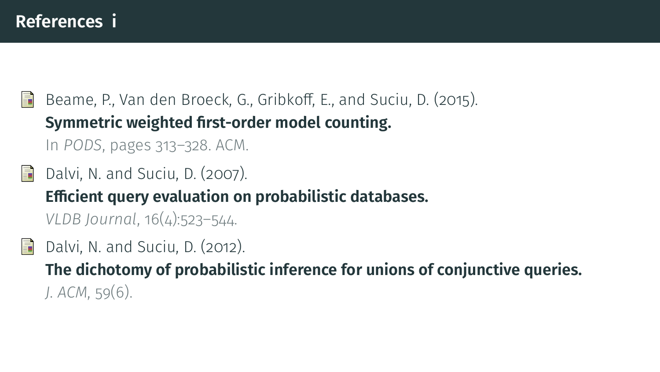<span id="page-55-2"></span>Ë Beame, P., Van den Broeck, G., Gribkoff, E., and Suciu, D. (2015). **[Symmetric weighted first-order model counting.](https://arxiv.org/abs/1412.1505)** In *PODS*, pages 313–328. ACM.

- <span id="page-55-0"></span>Dalvi, N. and Suciu, D. (2007). **[Ecient query evaluation on probabilistic databases.](https://homes.cs.washington.edu/~suciu/vldbj-probdb.pdf)** *VLDB Journal*, 16(4):523–544.
- <span id="page-55-1"></span>晶 Dalvi, N. and Suciu, D. (2012). **[The dichotomy of probabilistic inference for unions of conjunctive queries.](https://homes.cs.washington.edu/~suciu/jacm-dichotomy.pdf)** *J. ACM*, 59(6).